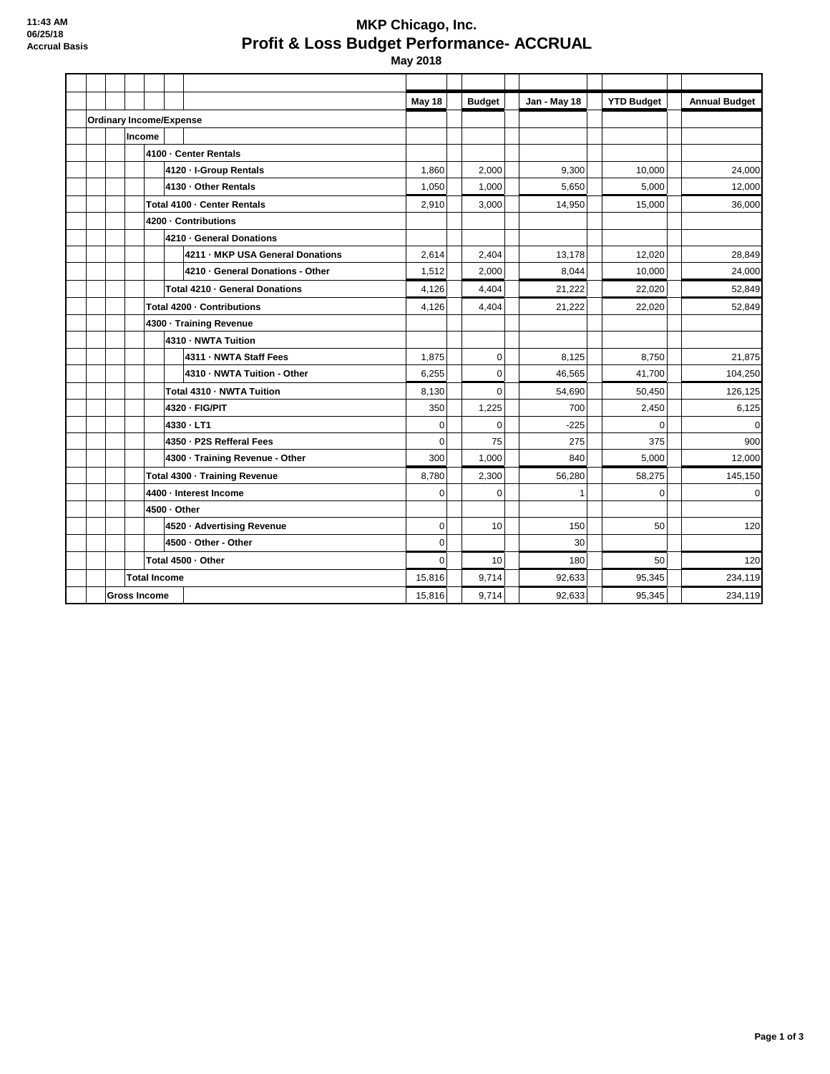## **MKP Chicago, Inc. Profit & Loss Budget Performance- ACCRUAL**

 **May 2018**

|                     |                                |                        |                               |                                  | May 18      | <b>Budget</b> | Jan - May 18 | <b>YTD Budget</b> | <b>Annual Budget</b> |
|---------------------|--------------------------------|------------------------|-------------------------------|----------------------------------|-------------|---------------|--------------|-------------------|----------------------|
|                     | <b>Ordinary Income/Expense</b> |                        |                               |                                  |             |               |              |                   |                      |
|                     |                                | Income                 |                               |                                  |             |               |              |                   |                      |
|                     |                                |                        | 4100 - Center Rentals         |                                  |             |               |              |                   |                      |
|                     |                                |                        |                               | 4120 - I-Group Rentals           | 1,860       | 2,000         | 9,300        | 10,000            | 24,000               |
|                     |                                |                        |                               | 4130 - Other Rentals             | 1,050       | 1,000         | 5.650        | 5,000             | 12,000               |
|                     |                                |                        | Total 4100 - Center Rentals   |                                  |             | 3,000         | 14,950       | 15,000            | 36,000               |
|                     |                                |                        | 4200 - Contributions          |                                  |             |               |              |                   |                      |
|                     |                                |                        | 4210 - General Donations      |                                  |             |               |              |                   |                      |
|                     |                                |                        |                               | 4211 - MKP USA General Donations | 2,614       | 2,404         | 13,178       | 12,020            | 28,849               |
|                     |                                |                        |                               | 4210 - General Donations - Other | 1,512       | 2,000         | 8.044        | 10,000            | 24,000               |
|                     |                                |                        |                               | Total 4210 · General Donations   | 4,126       | 4,404         | 21,222       | 22,020            | 52,849               |
|                     |                                |                        | Total 4200 - Contributions    |                                  |             | 4,404         | 21,222       | 22,020            | 52,849               |
|                     |                                |                        | 4300 - Training Revenue       |                                  |             |               |              |                   |                      |
|                     |                                |                        |                               | 4310 - NWTA Tuition              |             |               |              |                   |                      |
|                     |                                |                        |                               | 4311 - NWTA Staff Fees           | 1,875       | $\mathbf 0$   | 8.125        | 8,750             | 21.875               |
|                     |                                |                        |                               | 4310 - NWTA Tuition - Other      | 6,255       | $\mathbf 0$   | 46,565       | 41,700            | 104,250              |
|                     |                                |                        |                               | Total 4310 - NWTA Tuition        | 8,130       | $\Omega$      | 54,690       | 50,450            | 126,125              |
|                     |                                |                        |                               | 4320 - FIG/PIT                   | 350         | 1,225         | 700          | 2,450             | 6,125                |
|                     |                                |                        | 4330 - LT1                    |                                  | 0           | $\Omega$      | $-225$       | $\Omega$          |                      |
|                     |                                |                        |                               | 4350 - P2S Refferal Fees         | 0           | 75            | 275          | 375               | 900                  |
|                     |                                |                        |                               | 4300 - Training Revenue - Other  | 300         | 1,000         | 840          | 5.000             | 12,000               |
|                     |                                |                        | Total 4300 - Training Revenue |                                  | 8,780       | 2,300         | 56,280       | 58,275            | 145,150              |
|                     |                                | 4400 - Interest Income |                               | $\Omega$                         | $\Omega$    |               | $\Omega$     | $\Omega$          |                      |
|                     |                                | 4500 - Other           |                               |                                  |             |               |              |                   |                      |
|                     |                                |                        |                               | 4520 · Advertising Revenue       | $\mathbf 0$ | 10            | 150          | 50                | 120                  |
|                     |                                |                        |                               | 4500 - Other - Other             | 0           |               | 30           |                   |                      |
|                     |                                | Total 4500 - Other     |                               |                                  | 0           | 10            | 180          | 50                | 120                  |
| <b>Total Income</b> |                                |                        |                               | 15,816                           | 9.714       | 92.633        | 95.345       | 234,119           |                      |
| <b>Gross Income</b> |                                |                        |                               | 15,816                           | 9,714       | 92.633        | 95,345       | 234,119           |                      |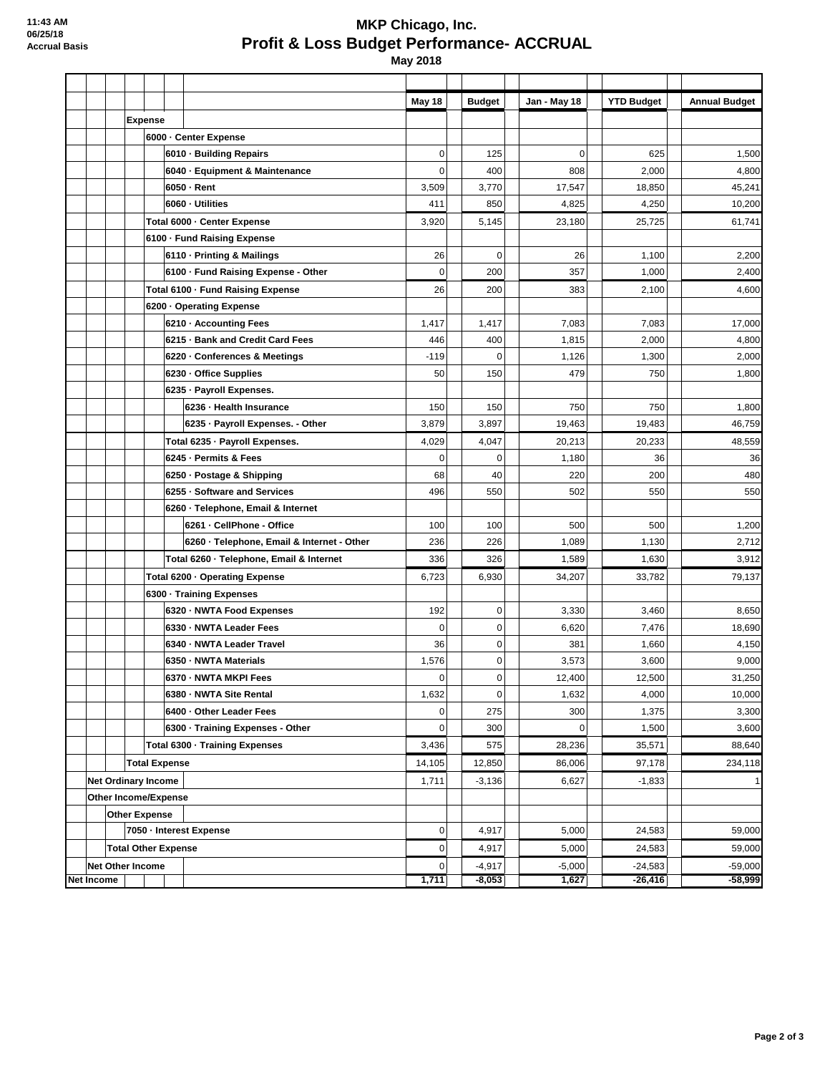## **MKP Chicago, Inc. Profit & Loss Budget Performance- ACCRUAL May 2018**

**May 18 Budget Jan - May 18 YTD Budget Annual Budget Expense 6000 · Center Expense 6010 · Building Repairs 1.500 1.500 1.500 1.500 1.500 1.500 1.500 1.500 1.500 1.500 1.500 1.500 1.500 1.500 1.500 6040 · Equipment & Maintenance**  $\begin{vmatrix} 0 & 0 & 400 \\ 0 & 400 & 0 \end{vmatrix}$  808  $\begin{vmatrix} 2,000 & 2,000 \\ 0,000 & 0 \end{vmatrix}$  4,800 **6050 · Rent** 3,509 3,770 17,547 18,850 45,241 **6060 · Utilities** 411 850 4,825 4,250 10,200 **Total 6000 · Center Expense** 3,920 5,145 23,180 25,725 61,741 **6100 · Fund Raising Expense 6110 · Printing & Mailings** 26 0 26 1,100 2,200 **6100 · Fund Raising Expense - Other**  $\begin{vmatrix} 0 & 0 & 200 \\ 0 & 200 & 357 \end{vmatrix}$  1,000  $\begin{vmatrix} 1 & 0 & 2,400 \\ 0 & 0 & 0 & 0 \end{vmatrix}$ **Total 6100 · Fund Raising Expense** 26 200 383 2,100 4,600 **6200 · Operating Expense 6210 · Accounting Fees** 17,000 1,417 1,417 1,417 1,417 1,003 7,083 17,000 **6215 · Bank and Credit Card Fees**  $\begin{vmatrix} 446 & 400 & 1,815 \\ 400 & 4,800 \end{vmatrix}$  2,000  $\begin{vmatrix} 2,000 & 4,800 \\ 4,800 & 4,800 \end{vmatrix}$ **6220 · Conferences & Meetings**  $\begin{vmatrix} -119 & 0 & 1,126 \\ 0 & 1,300 & 1,300 \end{vmatrix}$  2,000 **6230 · Office Supplies 6230 · Office Supplies 50** 150 **1,800 1,800** 1,800 **6235 · Payroll Expenses. 6236 · Health Insurance** 150 | 150 | 150 | 150 | 150 | 750 | 750 | 1,800 **6235 · Payroll Expenses. - Other**  $\begin{vmatrix} 3,879 & 3,897 \\ 19,463 & 19,463 \end{vmatrix}$  19,483 19,483 46,759 **Total 6235 · Payroll Expenses.** 4,029 4,047 20,213 20,233 48,559 **6245 · Permits & Fees** 0 0 1,180 36 36 **6250 · Postage & Shipping 68 |** 40 | 220 | 200 | 200 | 480 **6255 · Software and Services** 496 550 502 550 550 **6260 · Telephone, Email & Internet 6261 · CellPhone - Office** 100 100 500 500 1,200 **6260 · Telephone, Email & Internet - Other**  $\begin{vmatrix} 236 & 226 \\ 236 & 2712 \end{vmatrix}$  1,089 1,130 1,130 2,712 **Total 6260 · Telephone, Email & Internet**  $\begin{array}{|c|c|c|c|c|c|}\n\hline\n336 & 326 & 1,589 & 1,630 & 3,912\n\end{array}$ **Total 6200 · Operating Expense** 6,723 6,930 34,207 33,782 79,137 **6300 · Training Expenses 6320 · NWTA Food Expenses** 192 0 3,330 3,460 8,650 **6330 · NWTA Leader Fees** 6.620 7.476 18.690 **6340 · NWTA Leader Travel** 36 0 381 1,660 4,150 **6350 · NWTA Materials** 1,576 | 0 3,573 | 3,600 9,000 **6370 · NWTA MKPI Fees** 21,250 **12,400** 12,400 **12,500** 12,500 31,250 **6380 · NWTA Site Rental 1.632 0 1,632 10,000 10,000 10,000 10,000 10,000 10,000 6400 · Other Leader Fees** 2,300 **1,375 1,375 1,375 1,375 1,376 1,376 1,375 1,300 6300 · Training Expenses - Other** 0 300 0 1,500 3,600 **Total 6300 · Training Expenses** 3,436 575 28,236 35,571 88,640 **Total Expense** 14,105 12,850 86,006 97,178 234,118 **Net Ordinary Income** 1,711 -3,136 6,627 -1,833 1 **Other Income/Expense Other Expense 7050 · Interest Expense** 0 4,917 5,000 24,583 59,000 **Total Other Expense** 0 4,917 5,000 24,583 59,000 **Net Other Income** 0 -4,917 -5,000 -24,583 -59,000 **Net Income 1,711 -8,053 1,627 -26,416 -58,999**